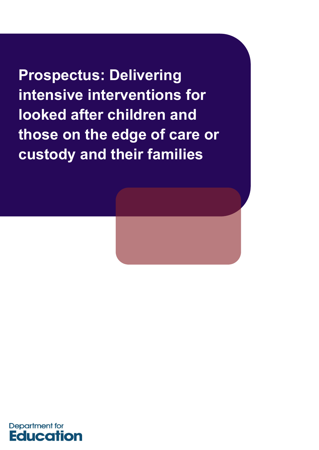**Prospectus: Delivering intensive interventions for looked after children and those on the edge of care or custody and their families**

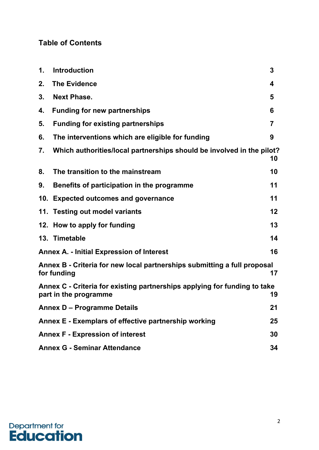# **Table of Contents**

| 1.                                                                                                       | <b>Introduction</b>                                                                     | 3  |
|----------------------------------------------------------------------------------------------------------|-----------------------------------------------------------------------------------------|----|
| 2.                                                                                                       | <b>The Evidence</b>                                                                     | 4  |
| 3.                                                                                                       | <b>Next Phase.</b>                                                                      | 5  |
| 4.                                                                                                       | <b>Funding for new partnerships</b>                                                     | 6  |
| 5.                                                                                                       | <b>Funding for existing partnerships</b>                                                | 7  |
| 6.                                                                                                       | The interventions which are eligible for funding                                        | 9  |
| 7.                                                                                                       | Which authorities/local partnerships should be involved in the pilot?                   | 10 |
| 8.                                                                                                       | The transition to the mainstream                                                        | 10 |
| 9.                                                                                                       | Benefits of participation in the programme                                              | 11 |
|                                                                                                          | 10. Expected outcomes and governance                                                    | 11 |
|                                                                                                          | 11. Testing out model variants                                                          | 12 |
|                                                                                                          | 12. How to apply for funding                                                            | 13 |
|                                                                                                          | 13. Timetable                                                                           | 14 |
|                                                                                                          | <b>Annex A. - Initial Expression of Interest</b>                                        | 16 |
|                                                                                                          | Annex B - Criteria for new local partnerships submitting a full proposal<br>for funding | 17 |
| Annex C - Criteria for existing partnerships applying for funding to take<br>part in the programme<br>19 |                                                                                         |    |
| Annex D - Programme Details<br>21                                                                        |                                                                                         |    |
| Annex E - Exemplars of effective partnership working<br>25                                               |                                                                                         |    |
| <b>Annex F - Expression of interest</b><br>30                                                            |                                                                                         |    |
| <b>Annex G - Seminar Attendance</b><br>34                                                                |                                                                                         |    |

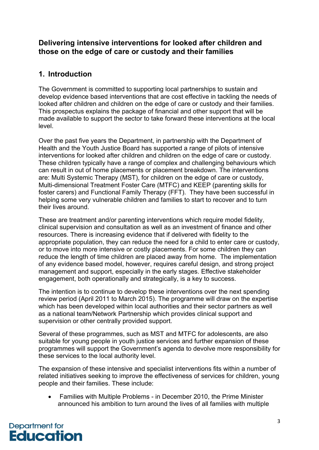### <span id="page-2-0"></span>**Delivering intensive interventions for looked after children and those on the edge of care or custody and their families**

# **1. Introduction**

The Government is committed to supporting local partnerships to sustain and develop evidence based interventions that are cost effective in tackling the needs of looked after children and children on the edge of care or custody and their families. This prospectus explains the package of financial and other support that will be made available to support the sector to take forward these interventions at the local level.

Over the past five years the Department, in partnership with the Department of Health and the Youth Justice Board has supported a range of pilots of intensive interventions for looked after children and children on the edge of care or custody. These children typically have a range of complex and challenging behaviours which can result in out of home placements or placement breakdown. The interventions are: Multi Systemic Therapy (MST), for children on the edge of care or custody, Multi-dimensional Treatment Foster Care (MTFC) and KEEP (parenting skills for foster carers) and Functional Family Therapy (FFT). They have been successful in helping some very vulnerable children and families to start to recover and to turn their lives around.

These are treatment and/or parenting interventions which require model fidelity, clinical supervision and consultation as well as an investment of finance and other resources. There is increasing evidence that if delivered with fidelity to the appropriate population, they can reduce the need for a child to enter care or custody, or to move into more intensive or costly placements. For some children they can reduce the length of time children are placed away from home. The implementation of any evidence based model, however, requires careful design, and strong project management and support, especially in the early stages. Effective stakeholder engagement, both operationally and strategically, is a key to success.

The intention is to continue to develop these interventions over the next spending review period (April 2011 to March 2015). The programme will draw on the expertise which has been developed within local authorities and their sector partners as well as a national team/Network Partnership which provides clinical support and supervision or other centrally provided support.

Several of these programmes, such as MST and MTFC for adolescents, are also suitable for young people in youth justice services and further expansion of these programmes will support the Government's agenda to devolve more responsibility for these services to the local authority level.

The expansion of these intensive and specialist interventions fits within a number of related initiatives seeking to improve the effectiveness of services for children, young people and their families. These include:

• Families with Multiple Problems - in December 2010, the Prime Minister announced his ambition to turn around the lives of all families with multiple

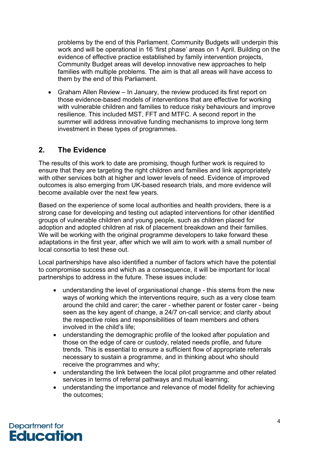<span id="page-3-0"></span>problems by the end of this Parliament. Community Budgets will underpin this work and will be operational in 16 'first phase' areas on 1 April. Building on the evidence of effective practice established by family intervention projects, Community Budget areas will develop innovative new approaches to help families with multiple problems. The aim is that all areas will have access to them by the end of this Parliament.

• Graham Allen Review – In January, the review produced its first report on those evidence-based models of interventions that are effective for working with vulnerable children and families to reduce risky behaviours and improve resilience. This included MST, FFT and MTFC. A second report in the summer will address innovative funding mechanisms to improve long term investment in these types of programmes.

# **2. The Evidence**

The results of this work to date are promising, though further work is required to ensure that they are targeting the right children and families and link appropriately with other services both at higher and lower levels of need. Evidence of improved outcomes is also emerging from UK-based research trials, and more evidence will become available over the next few years.

Based on the experience of some local authorities and health providers, there is a strong case for developing and testing out adapted interventions for other identified groups of vulnerable children and young people, such as children placed for adoption and adopted children at risk of placement breakdown and their families. We will be working with the original programme developers to take forward these adaptations in the first year, after which we will aim to work with a small number of local consortia to test these out.

Local partnerships have also identified a number of factors which have the potential to compromise success and which as a consequence, it will be important for local partnerships to address in the future. These issues include:

- understanding the level of organisational change this stems from the new ways of working which the interventions require, such as a very close team around the child and carer; the carer - whether parent or foster carer - being seen as the key agent of change, a 24/7 on-call service; and clarity about the respective roles and responsibilities of team members and others involved in the child's life;
- understanding the demographic profile of the looked after population and those on the edge of care or custody, related needs profile, and future trends. This is essential to ensure a sufficient flow of appropriate referrals necessary to sustain a programme, and in thinking about who should receive the programmes and why;
- understanding the link between the local pilot programme and other related services in terms of referral pathways and mutual learning;
- understanding the importance and relevance of model fidelity for achieving the outcomes;

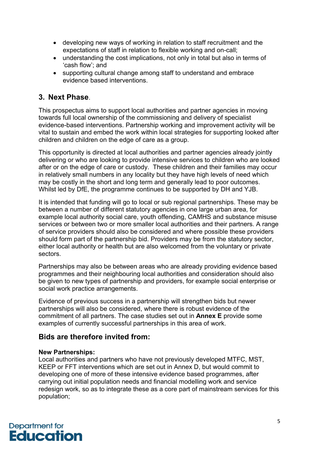- <span id="page-4-0"></span>• developing new ways of working in relation to staff recruitment and the expectations of staff in relation to flexible working and on-call;
- understanding the cost implications, not only in total but also in terms of 'cash flow'; and
- supporting cultural change among staff to understand and embrace evidence based interventions.

### **3. Next Phase**.

This prospectus aims to support local authorities and partner agencies in moving towards full local ownership of the commissioning and delivery of specialist evidence-based interventions. Partnership working and improvement activity will be vital to sustain and embed the work within local strategies for supporting looked after children and children on the edge of care as a group.

This opportunity is directed at local authorities and partner agencies already jointly delivering or who are looking to provide intensive services to children who are looked after or on the edge of care or custody. These children and their families may occur in relatively small numbers in any locality but they have high levels of need which may be costly in the short and long term and generally lead to poor outcomes. Whilst led by DfE, the programme continues to be supported by DH and YJB.

It is intended that funding will go to local or sub regional partnerships. These may be between a number of different statutory agencies in one large urban area, for example local authority social care, youth offending, CAMHS and substance misuse services or between two or more smaller local authorities and their partners. A range of service providers should also be considered and where possible these providers should form part of the partnership bid. Providers may be from the statutory sector, either local authority or health but are also welcomed from the voluntary or private sectors.

Partnerships may also be between areas who are already providing evidence based programmes and their neighbouring local authorities and consideration should also be given to new types of partnership and providers, for example social enterprise or social work practice arrangements.

Evidence of previous success in a partnership will strengthen bids but newer partnerships will also be considered, where there is robust evidence of the commitment of all partners. The case studies set out in **Annex E** provide some examples of currently successful partnerships in this area of work.

#### **Bids are therefore invited from:**

#### **New Partnerships:**

Local authorities and partners who have not previously developed MTFC, MST, KEEP or FFT interventions which are set out in Annex D, but would commit to developing one of more of these intensive evidence based programmes, after carrying out initial population needs and financial modelling work and service redesign work, so as to integrate these as a core part of mainstream services for this population;

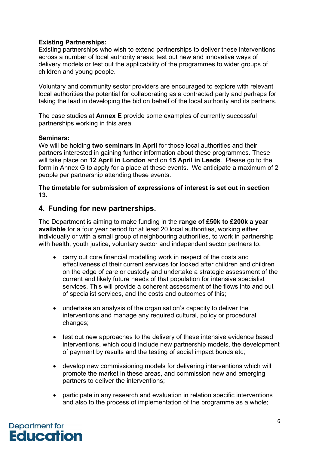#### <span id="page-5-0"></span>**Existing Partnerships:**

Existing partnerships who wish to extend partnerships to deliver these interventions across a number of local authority areas; test out new and innovative ways of delivery models or test out the applicability of the programmes to wider groups of children and young people.

Voluntary and community sector providers are encouraged to explore with relevant local authorities the potential for collaborating as a contracted party and perhaps for taking the lead in developing the bid on behalf of the local authority and its partners.

The case studies at **Annex E** provide some examples of currently successful partnerships working in this area.

#### **Seminars:**

We will be holding **two seminars in April** for those local authorities and their partners interested in gaining further information about these programmes. These will take place on **12 April in London** and on **15 April in Leeds**. Please go to the form in Annex G to apply for a place at these events. We anticipate a maximum of 2 people per partnership attending these events.

**The timetable for submission of expressions of interest is set out in section 13.**

#### **4. Funding for new partnerships.**

The Department is aiming to make funding in the **range of £50k to £200k a year available** for a four year period for at least 20 local authorities, working either individually or with a small group of neighbouring authorities, to work in partnership with health, youth justice, voluntary sector and independent sector partners to:

- carry out core financial modelling work in respect of the costs and effectiveness of their current services for looked after children and children on the edge of care or custody and undertake a strategic assessment of the current and likely future needs of that population for intensive specialist services. This will provide a coherent assessment of the flows into and out of specialist services, and the costs and outcomes of this;
- undertake an analysis of the organisation's capacity to deliver the interventions and manage any required cultural, policy or procedural changes;
- test out new approaches to the delivery of these intensive evidence based interventions, which could include new partnership models, the development of payment by results and the testing of social impact bonds etc;
- develop new commissioning models for delivering interventions which will promote the market in these areas, and commission new and emerging partners to deliver the interventions;
- participate in any research and evaluation in relation specific interventions and also to the process of implementation of the programme as a whole;

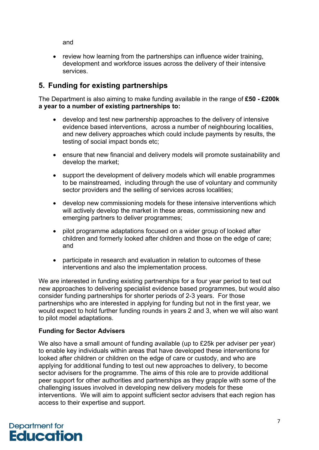<span id="page-6-0"></span>and

• review how learning from the partnerships can influence wider training, development and workforce issues across the delivery of their intensive services.

### **5. Funding for existing partnerships**

The Department is also aiming to make funding available in the range of **£50 - £200k a year to a number of existing partnerships to:** 

- develop and test new partnership approaches to the delivery of intensive evidence based interventions, across a number of neighbouring localities, and new delivery approaches which could include payments by results, the testing of social impact bonds etc;
- ensure that new financial and delivery models will promote sustainability and develop the market;
- support the development of delivery models which will enable programmes to be mainstreamed, including through the use of voluntary and community sector providers and the selling of services across localities;
- develop new commissioning models for these intensive interventions which will actively develop the market in these areas, commissioning new and emerging partners to deliver programmes;
- pilot programme adaptations focused on a wider group of looked after children and formerly looked after children and those on the edge of care; and
- participate in research and evaluation in relation to outcomes of these interventions and also the implementation process.

We are interested in funding existing partnerships for a four year period to test out new approaches to delivering specialist evidence based programmes, but would also consider funding partnerships for shorter periods of 2-3 years. For those partnerships who are interested in applying for funding but not in the first year, we would expect to hold further funding rounds in years 2 and 3, when we will also want to pilot model adaptations.

#### **Funding for Sector Advisers**

We also have a small amount of funding available (up to £25k per adviser per year) to enable key individuals within areas that have developed these interventions for looked after children or children on the edge of care or custody, and who are applying for additional funding to test out new approaches to delivery, to become sector advisers for the programme. The aims of this role are to provide additional peer support for other authorities and partnerships as they grapple with some of the challenging issues involved in developing new delivery models for these interventions. We will aim to appoint sufficient sector advisers that each region has access to their expertise and support.

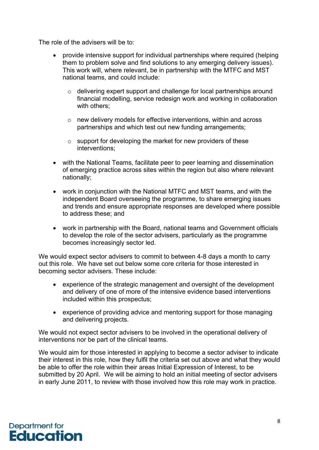The role of the advisers will be to:

- provide intensive support for individual partnerships where required (helping them to problem solve and find solutions to any emerging delivery issues). This work will, where relevant, be in partnership with the MTFC and MST national teams, and could include:
	- $\circ$  delivering expert support and challenge for local partnerships around financial modelling, service redesign work and working in collaboration with others:
	- o new delivery models for effective interventions, within and across partnerships and which test out new funding arrangements;
	- $\circ$  support for developing the market for new providers of these interventions;
- with the National Teams, facilitate peer to peer learning and dissemination of emerging practice across sites within the region but also where relevant nationally;
- work in conjunction with the National MTFC and MST teams, and with the independent Board overseeing the programme, to share emerging issues and trends and ensure appropriate responses are developed where possible to address these; and
- work in partnership with the Board, national teams and Government officials to develop the role of the sector advisers, particularly as the programme becomes increasingly sector led.

We would expect sector advisers to commit to between 4-8 days a month to carry out this role. We have set out below some core criteria for those interested in becoming sector advisers. These include:

- experience of the strategic management and oversight of the development and delivery of one of more of the intensive evidence based interventions included within this prospectus;
- experience of providing advice and mentoring support for those managing and delivering projects.

We would not expect sector advisers to be involved in the operational delivery of interventions nor be part of the clinical teams.

We would aim for those interested in applying to become a sector adviser to indicate their interest in this role, how they fulfil the criteria set out above and what they would be able to offer the role within their areas Initial Expression of Interest, to be submitted by 20 April. We will be aiming to hold an initial meeting of sector advisers in early June 2011, to review with those involved how this role may work in practice.

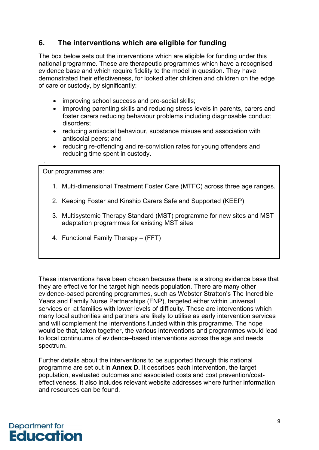### <span id="page-8-0"></span>**6. The interventions which are eligible for funding**

The box below sets out the interventions which are eligible for funding under this national programme. These are therapeutic programmes which have a recognised evidence base and which require fidelity to the model in question. They have demonstrated their effectiveness, for looked after children and children on the edge of care or custody, by significantly:

- improving school success and pro-social skills;
- improving parenting skills and reducing stress levels in parents, carers and foster carers reducing behaviour problems including diagnosable conduct disorders;
- reducing antisocial behaviour, substance misuse and association with antisocial peers; and
- reducing re-offending and re-conviction rates for young offenders and reducing time spent in custody.

Our programmes are:

.

- 1. Multi-dimensional Treatment Foster Care (MTFC) across three age ranges.
- 2. Keeping Foster and Kinship Carers Safe and Supported (KEEP)
- 3. Multisystemic Therapy Standard (MST) programme for new sites and MST adaptation programmes for existing MST sites
- 4. Functional Family Therapy (FFT)

These interventions have been chosen because there is a strong evidence base that they are effective for the target high needs population. There are many other evidence-based parenting programmes, such as Webster Stratton's The Incredible Years and Family Nurse Partnerships (FNP), targeted either within universal services or at families with lower levels of difficulty. These are interventions which many local authorities and partners are likely to utilise as early intervention services and will complement the interventions funded within this programme. The hope would be that, taken together, the various interventions and programmes would lead to local continuums of evidence–based interventions across the age and needs spectrum.

Further details about the interventions to be supported through this national programme are set out in **Annex D.** It describes each intervention, the target population, evaluated outcomes and associated costs and cost prevention/costeffectiveness. It also includes relevant website addresses where further information and resources can be found.

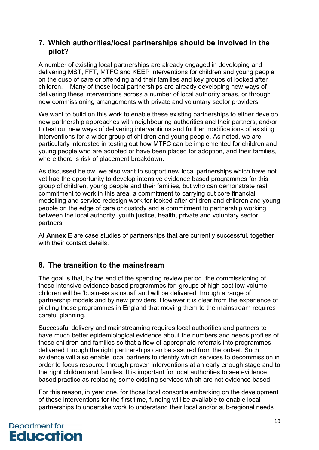#### <span id="page-9-0"></span>**7. Which authorities/local partnerships should be involved in the pilot?**

A number of existing local partnerships are already engaged in developing and delivering MST, FFT, MTFC and KEEP interventions for children and young people on the cusp of care or offending and their families and key groups of looked after children. Many of these local partnerships are already developing new ways of delivering these interventions across a number of local authority areas, or through new commissioning arrangements with private and voluntary sector providers.

We want to build on this work to enable these existing partnerships to either develop new partnership approaches with neighbouring authorities and their partners, and/or to test out new ways of delivering interventions and further modifications of existing interventions for a wider group of children and young people. As noted, we are particularly interested in testing out how MTFC can be implemented for children and young people who are adopted or have been placed for adoption, and their families, where there is risk of placement breakdown.

As discussed below, we also want to support new local partnerships which have not yet had the opportunity to develop intensive evidence based programmes for this group of children, young people and their families, but who can demonstrate real commitment to work in this area, a commitment to carrying out core financial modelling and service redesign work for looked after children and children and young people on the edge of care or custody and a commitment to partnership working between the local authority, youth justice, health, private and voluntary sector partners.

At **Annex E** are case studies of partnerships that are currently successful, together with their contact details.

# **8. The transition to the mainstream**

The goal is that, by the end of the spending review period, the commissioning of these intensive evidence based programmes for groups of high cost low volume children will be 'business as usual' and will be delivered through a range of partnership models and by new providers. However it is clear from the experience of piloting these programmes in England that moving them to the mainstream requires careful planning.

Successful delivery and mainstreaming requires local authorities and partners to have much better epidemiological evidence about the numbers and needs profiles of these children and families so that a flow of appropriate referrals into programmes delivered through the right partnerships can be assured from the outset. Such evidence will also enable local partners to identify which services to decommission in order to focus resource through proven interventions at an early enough stage and to the right children and families. It is important for local authorities to see evidence based practice as replacing some existing services which are not evidence based.

For this reason, in year one, for those local consortia embarking on the development of these interventions for the first time, funding will be available to enable local partnerships to undertake work to understand their local and/or sub-regional needs

# Department for **Education**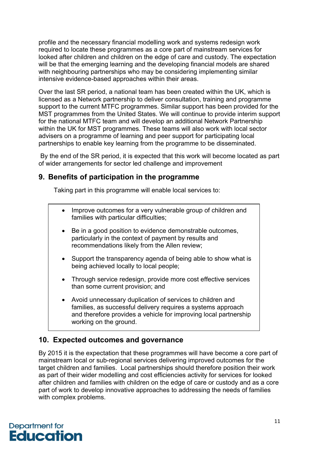<span id="page-10-0"></span>profile and the necessary financial modelling work and systems redesign work required to locate these programmes as a core part of mainstream services for looked after children and children on the edge of care and custody. The expectation will be that the emerging learning and the developing financial models are shared with neighbouring partnerships who may be considering implementing similar intensive evidence-based approaches within their areas.

Over the last SR period, a national team has been created within the UK, which is licensed as a Network partnership to deliver consultation, training and programme support to the current MTFC programmes. Similar support has been provided for the MST programmes from the United States. We will continue to provide interim support for the national MTFC team and will develop an additional Network Partnership within the UK for MST programmes. These teams will also work with local sector advisers on a programme of learning and peer support for participating local partnerships to enable key learning from the programme to be disseminated.

By the end of the SR period, it is expected that this work will become located as part of wider arrangements for sector led challenge and improvement

### **9. Benefits of participation in the programme**

Taking part in this programme will enable local services to:

- Improve outcomes for a very vulnerable group of children and families with particular difficulties;
- Be in a good position to evidence demonstrable outcomes, particularly in the context of payment by results and recommendations likely from the Allen review;
- Support the transparency agenda of being able to show what is being achieved locally to local people;
- Through service redesign, provide more cost effective services than some current provision; and
- Avoid unnecessary duplication of services to children and families, as successful delivery requires a systems approach and therefore provides a vehicle for improving local partnership working on the ground.

# **10. Expected outcomes and governance**

By 2015 it is the expectation that these programmes will have become a core part of mainstream local or sub-regional services delivering improved outcomes for the target children and families. Local partnerships should therefore position their work as part of their wider modelling and cost efficiencies activity for services for looked after children and families with children on the edge of care or custody and as a core part of work to develop innovative approaches to addressing the needs of families with complex problems.

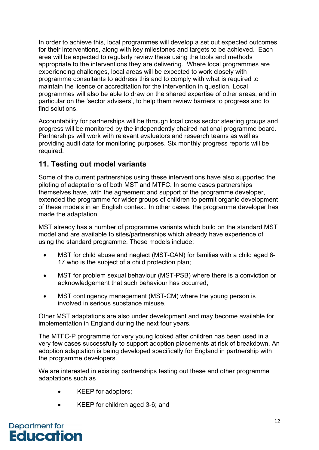<span id="page-11-0"></span>In order to achieve this, local programmes will develop a set out expected outcomes for their interventions, along with key milestones and targets to be achieved. Each area will be expected to regularly review these using the tools and methods appropriate to the interventions they are delivering. Where local programmes are experiencing challenges, local areas will be expected to work closely with programme consultants to address this and to comply with what is required to maintain the licence or accreditation for the intervention in question. Local programmes will also be able to draw on the shared expertise of other areas, and in particular on the 'sector advisers', to help them review barriers to progress and to find solutions.

Accountability for partnerships will be through local cross sector steering groups and progress will be monitored by the independently chaired national programme board. Partnerships will work with relevant evaluators and research teams as well as providing audit data for monitoring purposes. Six monthly progress reports will be required.

### **11. Testing out model variants**

Some of the current partnerships using these interventions have also supported the piloting of adaptations of both MST and MTFC. In some cases partnerships themselves have, with the agreement and support of the programme developer, extended the programme for wider groups of children to permit organic development of these models in an English context. In other cases, the programme developer has made the adaptation.

MST already has a number of programme variants which build on the standard MST model and are available to sites/partnerships which already have experience of using the standard programme. These models include:

- MST for child abuse and neglect (MST-CAN) for families with a child aged 6- 17 who is the subject of a child protection plan;
- MST for problem sexual behaviour (MST-PSB) where there is a conviction or acknowledgement that such behaviour has occurred;
- MST contingency management (MST-CM) where the young person is involved in serious substance misuse.

Other MST adaptations are also under development and may become available for implementation in England during the next four years.

The MTFC-P programme for very young looked after children has been used in a very few cases successfully to support adoption placements at risk of breakdown. An adoption adaptation is being developed specifically for England in partnership with the programme developers.

We are interested in existing partnerships testing out these and other programme adaptations such as

- KEEP for adopters;
- KEEP for children aged 3-6; and

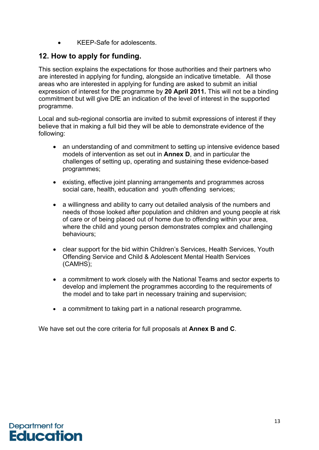• KEEP-Safe for adolescents.

## <span id="page-12-0"></span>**12. How to apply for funding.**

This section explains the expectations for those authorities and their partners who are interested in applying for funding, alongside an indicative timetable. All those areas who are interested in applying for funding are asked to submit an initial expression of interest for the programme by **20 April 2011.** This will not be a binding commitment but will give DfE an indication of the level of interest in the supported programme.

Local and sub-regional consortia are invited to submit expressions of interest if they believe that in making a full bid they will be able to demonstrate evidence of the following:

- an understanding of and commitment to setting up intensive evidence based models of intervention as set out in **Annex D**, and in particular the challenges of setting up, operating and sustaining these evidence-based programmes;
- existing, effective joint planning arrangements and programmes across social care, health, education and youth offending services;
- a willingness and ability to carry out detailed analysis of the numbers and needs of those looked after population and children and young people at risk of care or of being placed out of home due to offending within your area, where the child and young person demonstrates complex and challenging behaviours;
- clear support for the bid within Children's Services, Health Services, Youth Offending Service and Child & Adolescent Mental Health Services (CAMHS);
- a commitment to work closely with the National Teams and sector experts to develop and implement the programmes according to the requirements of the model and to take part in necessary training and supervision;
- a commitment to taking part in a national research programme**.**

We have set out the core criteria for full proposals at **Annex B and C**.

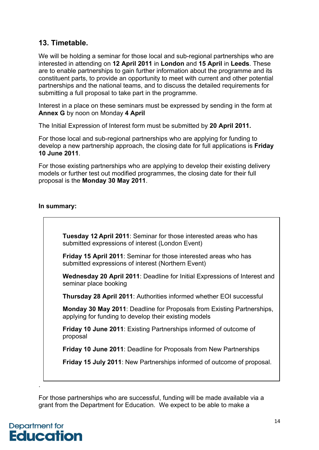### <span id="page-13-0"></span>**13. Timetable.**

We will be holding a seminar for those local and sub-regional partnerships who are interested in attending on **12 April 2011** in **London** and **15 April** in **Leeds**. These are to enable partnerships to gain further information about the programme and its constituent parts, to provide an opportunity to meet with current and other potential partnerships and the national teams, and to discuss the detailed requirements for submitting a full proposal to take part in the programme.

Interest in a place on these seminars must be expressed by sending in the form at **Annex G** by noon on Monday **4 April**

The Initial Expression of Interest form must be submitted by **20 April 2011.**

For those local and sub-regional partnerships who are applying for funding to develop a new partnership approach, the closing date for full applications is **Friday 10 June 2011**.

For those existing partnerships who are applying to develop their existing delivery models or further test out modified programmes, the closing date for their full proposal is the **Monday 30 May 2011**.

#### **In summary:**



**Friday 15 April 2011**: Seminar for those interested areas who has submitted expressions of interest (Northern Event)

**Wednesday 20 April 2011**: Deadline for Initial Expressions of Interest and seminar place booking

**Thursday 28 April 2011**: Authorities informed whether EOI successful

**Monday 30 May 2011**: Deadline for Proposals from Existing Partnerships, applying for funding to develop their existing models

**Friday 10 June 2011**: Existing Partnerships informed of outcome of proposal

**Friday 10 June 2011**: Deadline for Proposals from New Partnerships

**Friday 15 July 2011**: New Partnerships informed of outcome of proposal.

For those partnerships who are successful, funding will be made available via a grant from the Department for Education. We expect to be able to make a



.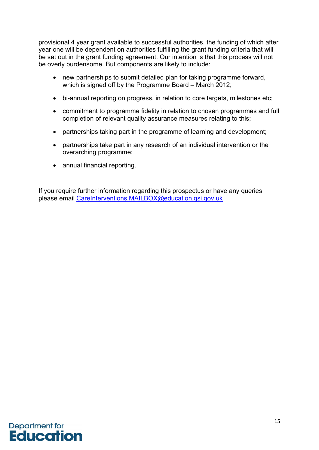provisional 4 year grant available to successful authorities, the funding of which after year one will be dependent on authorities fulfilling the grant funding criteria that will be set out in the grant funding agreement. Our intention is that this process will not be overly burdensome. But components are likely to include:

- new partnerships to submit detailed plan for taking programme forward, which is signed off by the Programme Board – March 2012;
- bi-annual reporting on progress, in relation to core targets, milestones etc;
- commitment to programme fidelity in relation to chosen programmes and full completion of relevant quality assurance measures relating to this;
- partnerships taking part in the programme of learning and development;
- partnerships take part in any research of an individual intervention or the overarching programme;
- annual financial reporting.

If you require further information regarding this prospectus or have any queries please email [CareInterventions.MAILBOX@education.gsi.gov.uk](mailto:CareInterventions.MAILBOX@education.gsi.gov.uk)

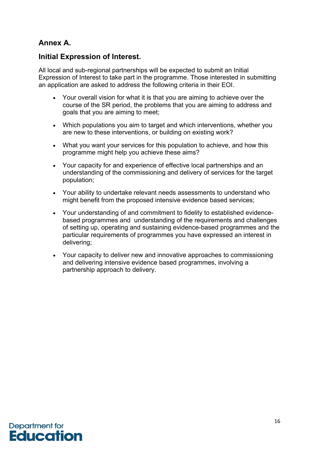## <span id="page-15-0"></span>**Annex A.**

#### **Initial Expression of Interest.**

All local and sub-regional partnerships will be expected to submit an Initial Expression of Interest to take part in the programme. Those interested in submitting an application are asked to address the following criteria in their EOI.

- Your overall vision for what it is that you are aiming to achieve over the course of the SR period, the problems that you are aiming to address and goals that you are aiming to meet;
- Which populations you aim to target and which interventions, whether you are new to these interventions, or building on existing work?
- What you want your services for this population to achieve, and how this programme might help you achieve these aims?
- Your capacity for and experience of effective local partnerships and an understanding of the commissioning and delivery of services for the target population;
- Your ability to undertake relevant needs assessments to understand who might benefit from the proposed intensive evidence based services;
- Your understanding of and commitment to fidelity to established evidencebased programmes and understanding of the requirements and challenges of setting up, operating and sustaining evidence-based programmes and the particular requirements of programmes you have expressed an interest in delivering;
- Your capacity to deliver new and innovative approaches to commissioning and delivering intensive evidence based programmes, involving a partnership approach to delivery.

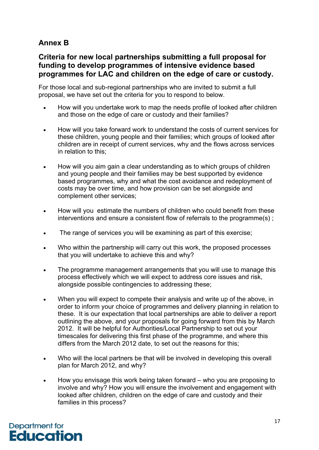# <span id="page-16-0"></span>**Annex B**

### **Criteria for new local partnerships submitting a full proposal for funding to develop programmes of intensive evidence based programmes for LAC and children on the edge of care or custody.**

For those local and sub-regional partnerships who are invited to submit a full proposal, we have set out the criteria for you to respond to below.

- How will you undertake work to map the needs profile of looked after children and those on the edge of care or custody and their families?
- How will you take forward work to understand the costs of current services for these children, young people and their families; which groups of looked after children are in receipt of current services, why and the flows across services in relation to this;
- How will you aim gain a clear understanding as to which groups of children and young people and their families may be best supported by evidence based programmes, why and what the cost avoidance and redeployment of costs may be over time, and how provision can be set alongside and complement other services;
- How will you estimate the numbers of children who could benefit from these interventions and ensure a consistent flow of referrals to the programme(s) ;
- The range of services you will be examining as part of this exercise;
- Who within the partnership will carry out this work, the proposed processes that you will undertake to achieve this and why?
- The programme management arrangements that you will use to manage this process effectively which we will expect to address core issues and risk, alongside possible contingencies to addressing these;
- When you will expect to compete their analysis and write up of the above, in order to inform your choice of programmes and delivery planning in relation to these. It is our expectation that local partnerships are able to deliver a report outlining the above, and your proposals for going forward from this by March 2012. It will be helpful for Authorities/Local Partnership to set out your timescales for delivering this first phase of the programme, and where this differs from the March 2012 date, to set out the reasons for this;
- Who will the local partners be that will be involved in developing this overall plan for March 2012, and why?
- How you envisage this work being taken forward who you are proposing to involve and why? How you will ensure the involvement and engagement with looked after children, children on the edge of care and custody and their families in this process?

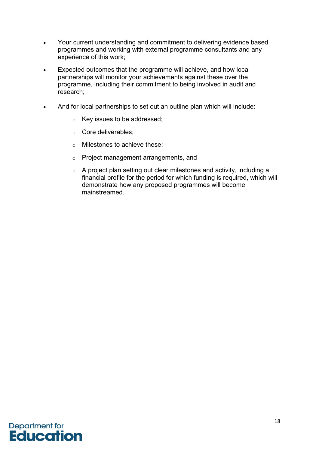- Your current understanding and commitment to delivering evidence based programmes and working with external programme consultants and any experience of this work;
- Expected outcomes that the programme will achieve, and how local partnerships will monitor your achievements against these over the programme, including their commitment to being involved in audit and research;
- And for local partnerships to set out an outline plan which will include:
	- o Key issues to be addressed;
	- o Core deliverables;
	- o Milestones to achieve these;
	- o Project management arrangements, and
	- o A project plan setting out clear milestones and activity, including a financial profile for the period for which funding is required, which will demonstrate how any proposed programmes will become mainstreamed.

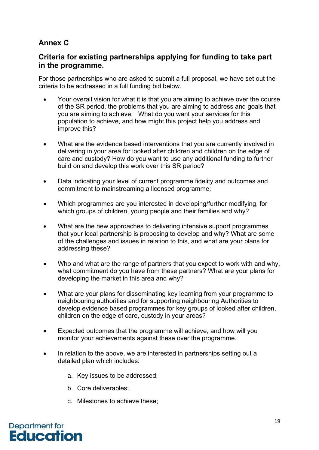# <span id="page-18-0"></span>**Annex C**

### **Criteria for existing partnerships applying for funding to take part in the programme.**

For those partnerships who are asked to submit a full proposal, we have set out the criteria to be addressed in a full funding bid below.

- Your overall vision for what it is that you are aiming to achieve over the course of the SR period, the problems that you are aiming to address and goals that you are aiming to achieve. What do you want your services for this population to achieve, and how might this project help you address and improve this?
- What are the evidence based interventions that you are currently involved in delivering in your area for looked after children and children on the edge of care and custody? How do you want to use any additional funding to further build on and develop this work over this SR period?
- Data indicating your level of current programme fidelity and outcomes and commitment to mainstreaming a licensed programme;
- Which programmes are you interested in developing/further modifying, for which groups of children, young people and their families and why?
- What are the new approaches to delivering intensive support programmes that your local partnership is proposing to develop and why? What are some of the challenges and issues in relation to this, and what are your plans for addressing these?
- Who and what are the range of partners that you expect to work with and why, what commitment do you have from these partners? What are your plans for developing the market in this area and why?
- What are your plans for disseminating key learning from your programme to neighbouring authorities and for supporting neighbouring Authorities to develop evidence based programmes for key groups of looked after children, children on the edge of care, custody in your areas?
- Expected outcomes that the programme will achieve, and how will you monitor your achievements against these over the programme.
- In relation to the above, we are interested in partnerships setting out a detailed plan which includes:
	- a. Key issues to be addressed;
	- b. Core deliverables;
	- c. Milestones to achieve these;

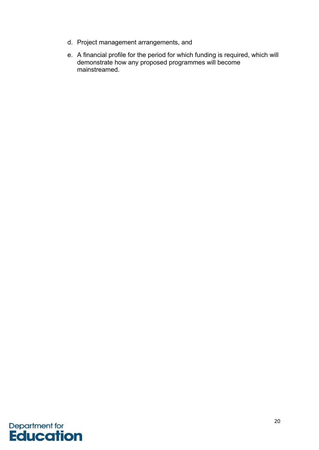- d. Project management arrangements, and
- e. A financial profile for the period for which funding is required, which will demonstrate how any proposed programmes will become mainstreamed.

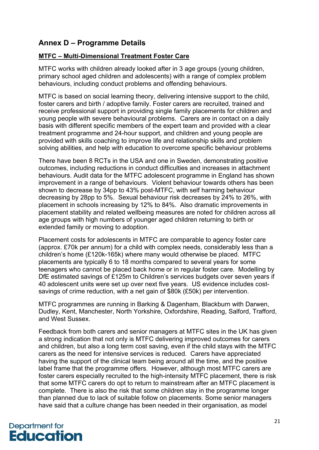### <span id="page-20-0"></span>**Annex D – Programme Details**

#### **MTFC – Multi-Dimensional Treatment Foster Care**

MTFC works with children already looked after in 3 age groups (young children, primary school aged children and adolescents) with a range of complex problem behaviours, including conduct problems and offending behaviours.

MTFC is based on social learning theory, delivering intensive support to the child, foster carers and birth / adoptive family. Foster carers are recruited, trained and receive professional support in providing single family placements for children and young people with severe behavioural problems. Carers are in contact on a daily basis with different specific members of the expert team and provided with a clear treatment programme and 24-hour support, and children and young people are provided with skills coaching to improve life and relationship skills and problem solving abilities, and help with education to overcome specific behaviour problems

There have been 8 RCTs in the USA and one in Sweden, demonstrating positive outcomes, including reductions in conduct difficulties and increases in attachment behaviours. Audit data for the MTFC adolescent programme in England has shown improvement in a range of behaviours. Violent behaviour towards others has been shown to decrease by 34pp to 43% post-MTFC, with self harming behaviour decreasing by 28pp to 5%. Sexual behaviour risk decreases by 24% to 26%, with placement in schools increasing by 12% to 84%. Also dramatic improvements in placement stability and related wellbeing measures are noted for children across all age groups with high numbers of younger aged children returning to birth or extended family or moving to adoption.

Placement costs for adolescents in MTFC are comparable to agency foster care (approx. £70k per annum) for a child with complex needs, considerably less than a children's home (£120k-165k) where many would otherwise be placed. MTFC placements are typically 6 to 18 months compared to several years for some teenagers who cannot be placed back home or in regular foster care. Modelling by DfE estimated savings of £125m to Children's services budgets over seven years if 40 adolescent units were set up over next five years. US evidence includes costsavings of crime reduction, with a net gain of \$80k (£50k) per intervention.

MTFC programmes are running in Barking & Dagenham, Blackburn with Darwen, Dudley, Kent, Manchester, North Yorkshire, Oxfordshire, Reading, Salford, Trafford, and West Sussex.

Feedback from both carers and senior managers at MTFC sites in the UK has given a strong indication that not only is MTFC delivering improved outcomes for carers and children, but also a long term cost saving, even if the child stays with the MTFC carers as the need for intensive services is reduced. Carers have appreciated having the support of the clinical team being around all the time, and the positive label frame that the programme offers. However, although most MTFC carers are foster carers especially recruited to the high-intensity MTFC placement, there is risk that some MTFC carers do opt to return to mainstream after an MTFC placement is complete. There is also the risk that some children stay in the programme longer than planned due to lack of suitable follow on placements. Some senior managers have said that a culture change has been needed in their organisation, as model

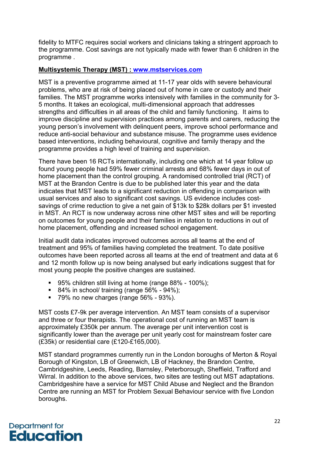fidelity to MTFC requires social workers and clinicians taking a stringent approach to the programme. Cost savings are not typically made with fewer than 6 children in the programme .

#### **Multisystemic Therapy (MST) : [www.mstservices.com](http://www.mstservices.com/)**

MST is a preventive programme aimed at 11-17 year olds with severe behavioural problems, who are at risk of being placed out of home in care or custody and their families. The MST programme works intensively with families in the community for 3- 5 months. It takes an ecological, multi-dimensional approach that addresses strengths and difficulties in all areas of the child and family functioning. It aims to improve discipline and supervision practices among parents and carers, reducing the young person's involvement with delinquent peers, improve school performance and reduce anti-social behaviour and substance misuse. The programme uses evidence based interventions, including behavioural, cognitive and family therapy and the programme provides a high level of training and supervision.

There have been 16 RCTs internationally, including one which at 14 year follow up found young people had 59% fewer criminal arrests and 68% fewer days in out of home placement than the control grouping. A randomised controlled trial (RCT) of MST at the Brandon Centre is due to be published later this year and the data indicates that MST leads to a significant reduction in offending in comparison with usual services and also to significant cost savings. US evidence includes costsavings of crime reduction to give a net gain of \$13k to \$28k dollars per \$1 invested in MST. An RCT is now underway across nine other MST sites and will be reporting on outcomes for young people and their families in relation to reductions in out of home placement, offending and increased school engagement.

Initial audit data indicates improved outcomes across all teams at the end of treatment and 95% of families having completed the treatment. To date positive outcomes have been reported across all teams at the end of treatment and data at 6 and 12 month follow up is now being analysed but early indications suggest that for most young people the positive changes are sustained.

- 95% children still living at home (range 88% 100%);
- $\blacksquare$  84% in school/ training (range 56% 94%);
- $\blacksquare$  79% no new charges (range 56% 93%).

MST costs £7-9k per average intervention. An MST team consists of a supervisor and three or four therapists. The operational cost of running an MST team is approximately £350k per annum. The average per unit intervention cost is significantly lower than the average per unit yearly cost for mainstream foster care (£35k) or residential care (£120-£165,000).

MST standard programmes currently run in the London boroughs of Merton & Royal Borough of Kingston, LB of Greenwich, LB of Hackney, the Brandon Centre, Cambridgeshire, Leeds, Reading, Barnsley, Peterborough, Sheffield, Trafford and Wirral. In addition to the above services, two sites are testing out MST adaptations. Cambridgeshire have a service for MST Child Abuse and Neglect and the Brandon Centre are running an MST for Problem Sexual Behaviour service with five London boroughs.

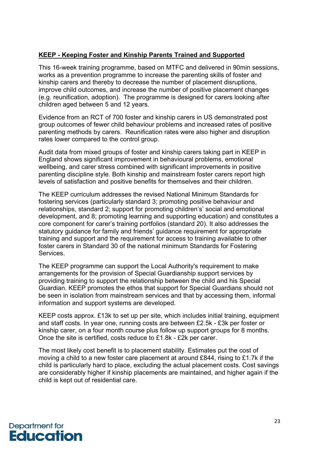#### **KEEP - Keeping Foster and Kinship Parents Trained and Supported**

This 16-week training programme, based on MTFC and delivered in 90min sessions, works as a prevention programme to increase the parenting skills of foster and kinship carers and thereby to decrease the number of placement disruptions, improve child outcomes, and increase the number of positive placement changes (e.g. reunification, adoption). The programme is designed for carers looking after children aged between 5 and 12 years.

Evidence from an RCT of 700 foster and kinship carers in US demonstrated post group outcomes of fewer child behaviour problems and increased rates of positive parenting methods by carers. Reunification rates were also higher and disruption rates lower compared to the control group.

Audit data from mixed groups of foster and kinship carers taking part in KEEP in England shows significant improvement in behavioural problems, emotional wellbeing, and carer stress combined with significant improvements in positive parenting discipline style. Both kinship and mainstream foster carers report high levels of satisfaction and positive benefits for themselves and their children.

The KEEP curriculum addresses the revised National Minimum Standards for fostering services (particularly standard 3; promoting positive behaviour and relationships, standard 2; support for promoting children's' social and emotional development, and 8; promoting learning and supporting education) and constitutes a core component for carer's training portfolios (standard 20). It also addresses the statutory guidance for family and friends' guidance requirement for appropriate training and support and the requirement for access to training available to other foster carers in Standard 30 of the national minimum Standards for Fostering Services.

The KEEP programme can support the Local Authority's requirement to make arrangements for the provision of Special Guardianship support services by providing training to support the relationship between the child and his Special Guardian. KEEP promotes the ethos that support for Special Guardians should not be seen in isolation from mainstream services and that by accessing them, informal information and support systems are developed.

KEEP costs approx. £13k to set up per site, which includes initial training, equipment and staff costs. In year one, running costs are between £2.5k - £3k per foster or kinship carer, on a four month course plus follow up support groups for 8 months. Once the site is certified, costs reduce to £1.8k - £2k per carer.

The most likely cost benefit is to placement stability. Estimates put the cost of moving a child to a new foster care placement at around £844, rising to £1.7k if the child is particularly hard to place, excluding the actual placement costs. Cost savings are considerably higher if kinship placements are maintained, and higher again if the child is kept out of residential care.

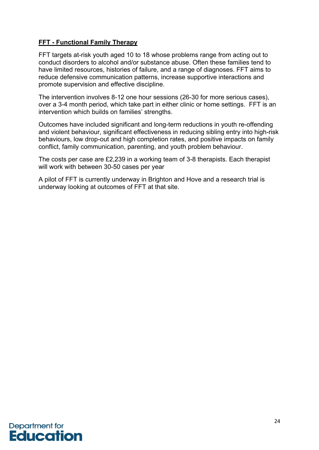#### **FFT - Functional Family Therapy**

FFT targets at-risk youth aged 10 to 18 whose problems range from acting out to conduct disorders to alcohol and/or substance abuse. Often these families tend to have limited resources, histories of failure, and a range of diagnoses. FFT aims to reduce defensive communication patterns, increase supportive interactions and promote supervision and effective discipline.

The intervention involves 8-12 one hour sessions (26-30 for more serious cases), over a 3-4 month period, which take part in either clinic or home settings. FFT is an intervention which builds on families' strengths.

Outcomes have included significant and long-term reductions in youth re-offending and violent behaviour, significant effectiveness in reducing sibling entry into high-risk behaviours, low drop-out and high completion rates, and positive impacts on family conflict, family communication, parenting, and youth problem behaviour.

The costs per case are £2,239 in a working team of 3-8 therapists. Each therapist will work with between 30-50 cases per year

A pilot of FFT is currently underway in Brighton and Hove and a research trial is underway looking at outcomes of FFT at that site.

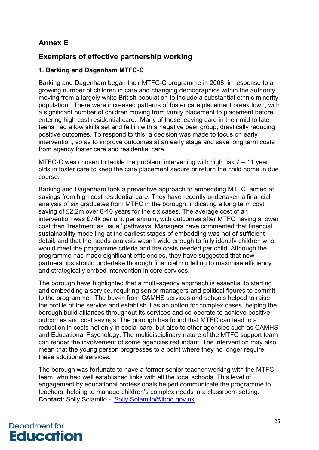# <span id="page-24-0"></span>**Annex E**

### **Exemplars of effective partnership working**

#### **1. Barking and Dagenham MTFC-C**

Barking and Dagenham began their MTFC-C programme in 2008, in response to a growing number of children in care and changing demographics within the authority, moving from a largely white British population to include a substantial ethnic minority population. There were increased patterns of foster care placement breakdown, with a significant number of children moving from family placement to placement before entering high cost residential care. Many of those leaving care in their mid to late teens had a low skills set and fell in with a negative peer group, drastically reducing positive outcomes. To respond to this, a decision was made to focus on early intervention, so as to improve outcomes at an early stage and save long term costs from agency foster care and residential care.

MTFC-C was chosen to tackle the problem, intervening with high risk 7 – 11 year olds in foster care to keep the care placement secure or return the child home in due course.

Barking and Dagenham took a preventive approach to embedding MTFC, aimed at savings from high cost residential care. They have recently undertaken a financial analysis of six graduates from MTFC in the borough, indicating a long term cost saving of £2.2m over 8-10 years for the six cases. The average cost of an intervention was £74k per unit per annum, with outcomes after MTFC having a lower cost than 'treatment as usual' pathways. Managers have commented that financial sustainability modelling at the earliest stages of embedding was not of sufficient detail, and that the needs analysis wasn't wide enough to fully identify children who would meet the programme criteria and the costs needed per child. Although the programme has made significant efficiencies, they have suggested that new partnerships should undertake thorough financial modelling to maximise efficiency and strategically embed intervention in core services.

The borough have highlighted that a multi-agency approach is essential to starting and embedding a service, requiring senior managers and political figures to commit to the programme. The buy-in from CAMHS services and schools helped to raise the profile of the service and establish it as an option for complex cases, helping the borough build alliances throughout its services and co-operate to achieve positive outcomes and cost savings. The borough has found that MTFC can lead to a reduction in costs not only in social care, but also to other agencies such as CAMHS and Educational Psychology. The multidisciplinary nature of the MTFC support team can render the involvement of some agencies redundant. The intervention may also mean that the young person progresses to a point where they no longer require these additional services.

The borough was fortunate to have a former senior teacher working with the MTFC team, who had well established links with all the local schools. This level of engagement by educational professionals helped communicate the programme to teachers, helping to manage children's complex needs in a classroom setting. **Contact**: Solly Solamito - [Solly.Solamito@lbbd.gov.uk](mailto:Solly.Solamito@lbbd.gov.uk)

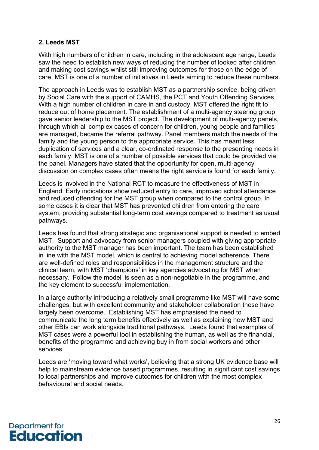#### **2. Leeds MST**

With high numbers of children in care, including in the adolescent age range, Leeds saw the need to establish new ways of reducing the number of looked after children and making cost savings whilst still improving outcomes for those on the edge of care. MST is one of a number of initiatives in Leeds aiming to reduce these numbers.

The approach in Leeds was to establish MST as a partnership service, being driven by Social Care with the support of CAMHS, the PCT and Youth Offending Services. With a high number of children in care in and custody, MST offered the right fit to reduce out of home placement. The establishment of a multi-agency steering group gave senior leadership to the MST project. The development of multi-agency panels, through which all complex cases of concern for children, young people and families are managed, became the referral pathway. Panel members match the needs of the family and the young person to the appropriate service. This has meant less duplication of services and a clear, co-ordinated response to the presenting needs in each family. MST is one of a number of possible services that could be provided via the panel. Managers have stated that the opportunity for open, multi-agency discussion on complex cases often means the right service is found for each family.

Leeds is involved in the National RCT to measure the effectiveness of MST in England. Early indications show reduced entry to care, improved school attendance and reduced offending for the MST group when compared to the control group. In some cases it is clear that MST has prevented children from entering the care system, providing substantial long-term cost savings compared to treatment as usual pathways.

Leeds has found that strong strategic and organisational support is needed to embed MST. Support and advocacy from senior managers coupled with giving appropriate authority to the MST manager has been important. The team has been established in line with the MST model, which is central to achieving model adherence. There are well-defined roles and responsibilities in the management structure and the clinical team, with MST 'champions' in key agencies advocating for MST when necessary. 'Follow the model' is seen as a non-negotiable in the programme, and the key element to successful implementation.

In a large authority introducing a relatively small programme like MST will have some challenges, but with excellent community and stakeholder collaboration these have largely been overcome. Establishing MST has emphasised the need to communicate the long term benefits effectively as well as explaining how MST and other EBIs can work alongside traditional pathways. Leeds found that examples of MST cases were a powerful tool in establishing the human, as well as the financial, benefits of the programme and achieving buy in from social workers and other services.

Leeds are 'moving toward what works', believing that a strong UK evidence base will help to mainstream evidence based programmes, resulting in significant cost savings to local partnerships and improve outcomes for children with the most complex behavioural and social needs.

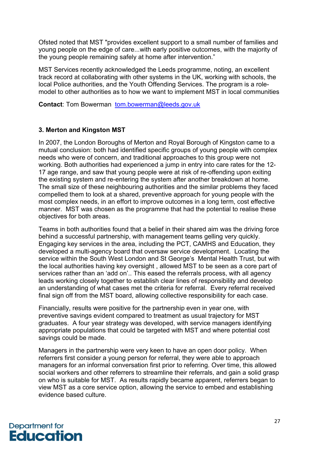Ofsted noted that MST "provides excellent support to a small number of families and young people on the edge of care...with early positive outcomes, with the majority of the young people remaining safely at home after intervention."

MST Services recently acknowledged the Leeds programme, noting, an excellent track record at collaborating with other systems in the UK, working with schools, the local Police authorities, and the Youth Offending Services. The program is a rolemodel to other authorities as to how we want to implement MST in local communities

**Contact**: Tom Bowerman [tom.bowerman@leeds.gov.uk](mailto:tom.bowerman@leeds.gov.uk)

#### **3. Merton and Kingston MST**

In 2007, the London Boroughs of Merton and Royal Borough of Kingston came to a mutual conclusion: both had identified specific groups of young people with complex needs who were of concern, and traditional approaches to this group were not working. Both authorities had experienced a jump in entry into care rates for the 12- 17 age range, and saw that young people were at risk of re-offending upon exiting the existing system and re-entering the system after another breakdown at home. The small size of these neighbouring authorities and the similar problems they faced compelled them to look at a shared, preventive approach for young people with the most complex needs, in an effort to improve outcomes in a long term, cost effective manner. MST was chosen as the programme that had the potential to realise these objectives for both areas.

Teams in both authorities found that a belief in their shared aim was the driving force behind a successful partnership, with management teams gelling very quickly. Engaging key services in the area, including the PCT, CAMHS and Education, they developed a multi-agency board that oversaw service development. Locating the service within the South West London and St George's Mental Health Trust, but with the local authorities having key oversight , allowed MST to be seen as a core part of services rather than an 'add on'.. This eased the referrals process, with all agency leads working closely together to establish clear lines of responsibility and develop an understanding of what cases met the criteria for referral. Every referral received final sign off from the MST board, allowing collective responsibility for each case.

Financially, results were positive for the partnership even in year one, with preventive savings evident compared to treatment as usual trajectory for MST graduates. A four year strategy was developed, with service managers identifying appropriate populations that could be targeted with MST and where potential cost savings could be made.

Managers in the partnership were very keen to have an open door policy. When referrers first consider a young person for referral, they were able to approach managers for an informal conversation first prior to referring. Over time, this allowed social workers and other referrers to streamline their referrals, and gain a solid grasp on who is suitable for MST. As results rapidly became apparent, referrers began to view MST as a core service option, allowing the service to embed and establishing evidence based culture.

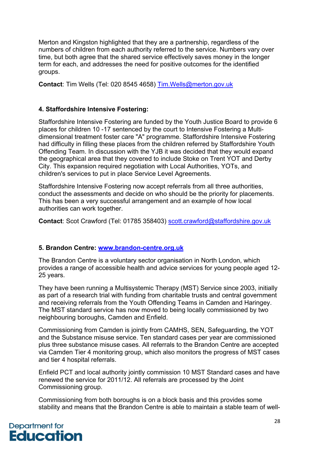Merton and Kingston highlighted that they are a partnership, regardless of the numbers of children from each authority referred to the service. Numbers vary over time, but both agree that the shared service effectively saves money in the longer term for each, and addresses the need for positive outcomes for the identified groups.

**Contact**: Tim Wells (Tel: 020 8545 4658) [Tim.Wells@merton.gov.uk](mailto:Tim.Wells@merton.gov.uk)

#### **4. Staffordshire Intensive Fostering:**

Staffordshire Intensive Fostering are funded by the Youth Justice Board to provide 6 places for children 10 -17 sentenced by the court to Intensive Fostering a Multidimensional treatment foster care "A" programme. Staffordshire Intensive Fostering had difficulty in filling these places from the children referred by Staffordshire Youth Offending Team. In discussion with the YJB it was decided that they would expand the geographical area that they covered to include Stoke on Trent YOT and Derby City. This expansion required negotiation with Local Authorities, YOTs, and children's services to put in place Service Level Agreements.

Staffordshire Intensive Fostering now accept referrals from all three authorities, conduct the assessments and decide on who should be the priority for placements. This has been a very successful arrangement and an example of how local authorities can work together.

**Contact**: Scot Crawford (Tel: 01785 358403) [scott.crawford@staffordshire.gov.uk](mailto:scott.crawford@staffordshire.gov.uk)

#### **5. Brandon Centre: [www.brandon-centre.org.uk](http://www.brandon-centre.org.uk/)**

The Brandon Centre is a voluntary sector organisation in North London, which provides a range of accessible health and advice services for young people aged 12- 25 years.

They have been running a Multisystemic Therapy (MST) Service since 2003, initially as part of a research trial with funding from charitable trusts and central government and receiving referrals from the Youth Offending Teams in Camden and Haringey. The MST standard service has now moved to being locally commissioned by two neighbouring boroughs, Camden and Enfield.

Commissioning from Camden is jointly from CAMHS, SEN, Safeguarding, the YOT and the Substance misuse service. Ten standard cases per year are commissioned plus three substance misuse cases. All referrals to the Brandon Centre are accepted via Camden Tier 4 monitoring group, which also monitors the progress of MST cases and tier 4 hospital referrals.

Enfield PCT and local authority jointly commission 10 MST Standard cases and have renewed the service for 2011/12. All referrals are processed by the Joint Commissioning group.

Commissioning from both boroughs is on a block basis and this provides some stability and means that the Brandon Centre is able to maintain a stable team of well-

# **Department for Education**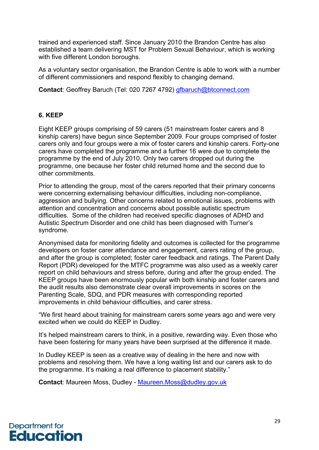trained and experienced staff. Since January 2010 the Brandon Centre has also established a team delivering MST for Problem Sexual Behaviour, which is working with five different London boroughs.

As a voluntary sector organisation, the Brandon Centre is able to work with a number of different commissioners and respond flexibly to changing demand.

**Contact**: Geoffrey Baruch (Tel: 020 7267 4792) [gfbaruch@btconnect.com](mailto:gfbaruch@btconnect.com)

#### **6. KEEP**

Eight KEEP groups comprising of 59 carers (51 mainstream foster carers and 8 kinship carers) have begun since September 2009. Four groups comprised of foster carers only and four groups were a mix of foster carers and kinship carers. Forty-one carers have completed the programme and a further 16 were due to complete the programme by the end of July 2010. Only two carers dropped out during the programme, one because her foster child returned home and the second due to other commitments.

Prior to attending the group, most of the carers reported that their primary concerns were concerning externalising behaviour difficulties, including non-compliance, aggression and bullying. Other concerns related to emotional issues, problems with attention and concentration and concerns about possible autistic spectrum difficulties. Some of the children had received specific diagnoses of ADHD and Autistic Spectrum Disorder and one child has been diagnosed with Turner's syndrome.

Anonymised data for monitoring fidelity and outcomes is collected for the programme developers on foster carer attendance and engagement, carers rating of the group, and after the group is completed; foster carer feedback and ratings. The Parent Daily Report (PDR) developed for the MTFC programme was also used as a weekly carer report on child behaviours and stress before, during and after the group ended. The KEEP groups have been enormously popular with both kinship and foster carers and the audit results also demonstrate clear overall improvements in scores on the Parenting Scale, SDQ, and PDR measures with corresponding reported improvements in child behaviour difficulties, and carer stress.

"We first heard about training for mainstream carers some years ago and were very excited when we could do KEEP in Dudley.

It's helped mainstream carers to think, in a positive, rewarding way. Even those who have been fostering for many years have been surprised at the difference it made.

In Dudley KEEP is seen as a creative way of dealing in the here and now with problems and resolving them. We have a long waiting list and our carers ask to do the programme. It's making a real difference to placement stability."

**Contact**: Maureen Moss, Dudley - [Maureen.Moss@dudley.gov.uk](mailto:Maureen.Moss@dudley.gov.uk)

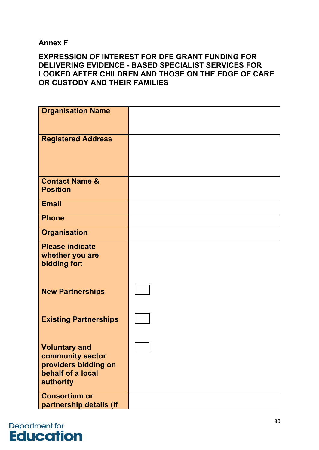<span id="page-29-0"></span>**Annex F**

### **EXPRESSION OF INTEREST FOR DFE GRANT FUNDING FOR DELIVERING EVIDENCE - BASED SPECIALIST SERVICES FOR LOOKED AFTER CHILDREN AND THOSE ON THE EDGE OF CARE OR CUSTODY AND THEIR FAMILIES**

| <b>Organisation Name</b>                                                                           |  |
|----------------------------------------------------------------------------------------------------|--|
| <b>Registered Address</b>                                                                          |  |
| <b>Contact Name &amp;</b><br><b>Position</b>                                                       |  |
| <b>Email</b>                                                                                       |  |
| <b>Phone</b>                                                                                       |  |
| <b>Organisation</b>                                                                                |  |
| <b>Please indicate</b><br>whether you are<br>bidding for:                                          |  |
| <b>New Partnerships</b>                                                                            |  |
| <b>Existing Partnerships</b>                                                                       |  |
| <b>Voluntary and</b><br>community sector<br>providers bidding on<br>behalf of a local<br>authority |  |
| <b>Consortium or</b><br>partnership details (if                                                    |  |

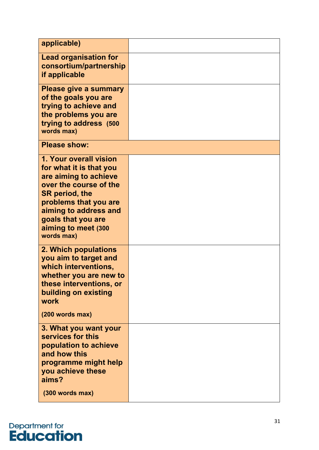| applicable)                                                                                                                                                                                                                                |  |
|--------------------------------------------------------------------------------------------------------------------------------------------------------------------------------------------------------------------------------------------|--|
| <b>Lead organisation for</b><br>consortium/partnership<br>if applicable                                                                                                                                                                    |  |
| <b>Please give a summary</b><br>of the goals you are<br>trying to achieve and<br>the problems you are<br>trying to address (500<br>words max)                                                                                              |  |
| <b>Please show:</b>                                                                                                                                                                                                                        |  |
| 1. Your overall vision<br>for what it is that you<br>are aiming to achieve<br>over the course of the<br><b>SR</b> period, the<br>problems that you are<br>aiming to address and<br>goals that you are<br>aiming to meet (300<br>words max) |  |
| 2. Which populations<br>you aim to target and<br>which interventions,<br>whether you are new to<br>these interventions, or<br>building on existing<br>work<br>(200 words max)                                                              |  |
| 3. What you want your<br>services for this<br>population to achieve<br>and how this<br>programme might help<br>you achieve these<br>aims?<br>$(300$ words max)                                                                             |  |

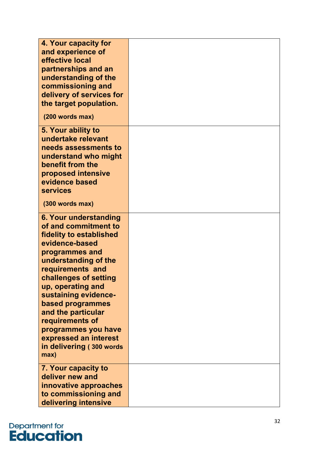| 4. Your capacity for<br>and experience of<br>effective local<br>partnerships and an<br>understanding of the<br>commissioning and<br>delivery of services for<br>the target population.                                                                                                                                                                  |  |
|---------------------------------------------------------------------------------------------------------------------------------------------------------------------------------------------------------------------------------------------------------------------------------------------------------------------------------------------------------|--|
| $(200$ words max)                                                                                                                                                                                                                                                                                                                                       |  |
| 5. Your ability to<br>undertake relevant<br>needs assessments to<br>understand who might<br>benefit from the<br>proposed intensive<br>evidence based<br><b>services</b><br>$(300$ words max)                                                                                                                                                            |  |
| 6. Your understanding                                                                                                                                                                                                                                                                                                                                   |  |
| of and commitment to<br>fidelity to established<br>evidence-based<br>programmes and<br>understanding of the<br>requirements and<br>challenges of setting<br>up, operating and<br>sustaining evidence-<br>based programmes<br>and the particular<br>requirements of<br>programmes you have<br>expressed an interest<br>in delivering (300 words)<br>max) |  |
| 7. Your capacity to<br>deliver new and<br>innovative approaches<br>to commissioning and<br>delivering intensive                                                                                                                                                                                                                                         |  |

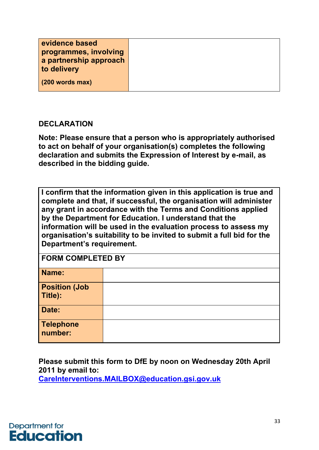| evidence based<br>programmes, involving<br>a partnership approach<br>to delivery |  |
|----------------------------------------------------------------------------------|--|
| (200 words max)                                                                  |  |

### **DECLARATION**

**Note: Please ensure that a person who is appropriately authorised to act on behalf of your organisation(s) completes the following declaration and submits the Expression of Interest by e-mail, as described in the bidding guide.**

**I confirm that the information given in this application is true and complete and that, if successful, the organisation will administer any grant in accordance with the Terms and Conditions applied by the Department for Education. I understand that the information will be used in the evaluation process to assess my organisation's suitability to be invited to submit a full bid for the Department's requirement.** 

| <b>FORM COMPLETED BY</b>        |  |  |  |  |
|---------------------------------|--|--|--|--|
| Name:                           |  |  |  |  |
| <b>Position (Job</b><br>Title): |  |  |  |  |
| Date:                           |  |  |  |  |
| <b>Telephone</b><br>number:     |  |  |  |  |

**Please submit this form to DfE by noon on Wednesday 20th April 2011 by email to:** 

**[CareInterventions.MAILBOX@education.gsi.gov.uk](mailto:CareInterventions.MAILBOX@education.gsi.gov.uk)**